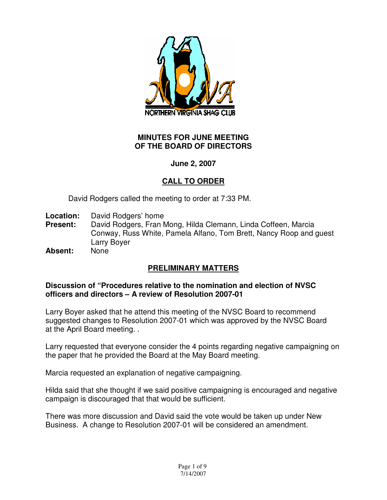

### **MINUTES FOR JUNE MEETING OF THE BOARD OF DIRECTORS**

# **June 2, 2007**

# **CALL TO ORDER**

David Rodgers called the meeting to order at 7:33 PM.

- **Location:** David Rodgers' home
- **Present:** David Rodgers, Fran Mong, Hilda Clemann, Linda Coffeen, Marcia Conway, Russ White, Pamela Alfano, Tom Brett, Nancy Roop and guest Larry Boyer
- **Absent:** None

# **PRELIMINARY MATTERS**

#### **Discussion of "Procedures relative to the nomination and election of NVSC officers and directors – A review of Resolution 2007-01**

Larry Boyer asked that he attend this meeting of the NVSC Board to recommend suggested changes to Resolution 2007-01 which was approved by the NVSC Board at the April Board meeting. .

Larry requested that everyone consider the 4 points regarding negative campaigning on the paper that he provided the Board at the May Board meeting.

Marcia requested an explanation of negative campaigning.

Hilda said that she thought if we said positive campaigning is encouraged and negative campaign is discouraged that that would be sufficient.

There was more discussion and David said the vote would be taken up under New Business. A change to Resolution 2007-01 will be considered an amendment.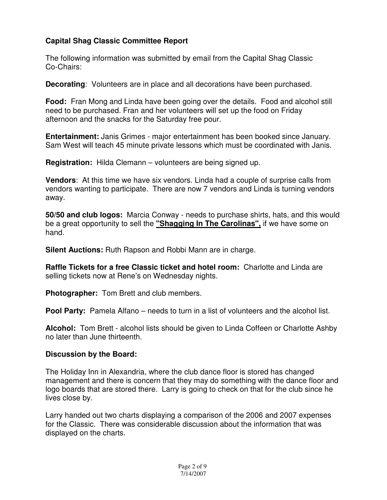# **Capital Shag Classic Committee Report**

The following information was submitted by email from the Capital Shag Classic Co-Chairs:

**Decorating**: Volunteers are in place and all decorations have been purchased.

**Food:** Fran Mong and Linda have been going over the details. Food and alcohol still need to be purchased. Fran and her volunteers will set up the food on Friday afternoon and the snacks for the Saturday free pour.

**Entertainment:** Janis Grimes - major entertainment has been booked since January. Sam West will teach 45 minute private lessons which must be coordinated with Janis.

**Registration:** Hilda Clemann – volunteers are being signed up.

**Vendors**: At this time we have six vendors. Linda had a couple of surprise calls from vendors wanting to participate. There are now 7 vendors and Linda is turning vendors away.

**50/50 and club logos:** Marcia Conway - needs to purchase shirts, hats, and this would be a great opportunity to sell the **"Shagging In The Carolinas",** if we have some on hand.

**Silent Auctions:** Ruth Rapson and Robbi Mann are in charge.

**Raffle Tickets for a free Classic ticket and hotel room:** Charlotte and Linda are selling tickets now at Rene's on Wednesday nights.

**Photographer:** Tom Brett and club members.

**Pool Party:** Pamela Alfano – needs to turn in a list of volunteers and the alcohol list.

**Alcohol:** Tom Brett - alcohol lists should be given to Linda Coffeen or Charlotte Ashby no later than June thirteenth.

#### **Discussion by the Board:**

The Holiday Inn in Alexandria, where the club dance floor is stored has changed management and there is concern that they may do something with the dance floor and logo boards that are stored there. Larry is going to check on that for the club since he lives close by.

Larry handed out two charts displaying a comparison of the 2006 and 2007 expenses for the Classic. There was considerable discussion about the information that was displayed on the charts.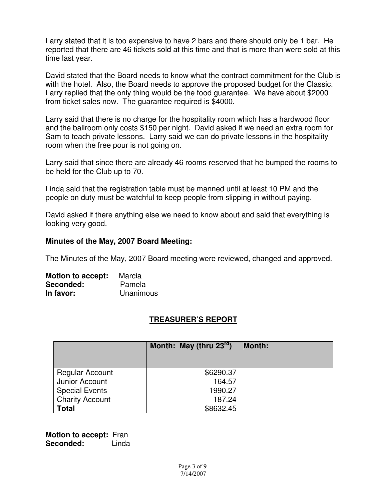Larry stated that it is too expensive to have 2 bars and there should only be 1 bar. He reported that there are 46 tickets sold at this time and that is more than were sold at this time last year.

David stated that the Board needs to know what the contract commitment for the Club is with the hotel. Also, the Board needs to approve the proposed budget for the Classic. Larry replied that the only thing would be the food guarantee. We have about \$2000 from ticket sales now. The guarantee required is \$4000.

Larry said that there is no charge for the hospitality room which has a hardwood floor and the ballroom only costs \$150 per night. David asked if we need an extra room for Sam to teach private lessons. Larry said we can do private lessons in the hospitality room when the free pour is not going on.

Larry said that since there are already 46 rooms reserved that he bumped the rooms to be held for the Club up to 70.

Linda said that the registration table must be manned until at least 10 PM and the people on duty must be watchful to keep people from slipping in without paying.

David asked if there anything else we need to know about and said that everything is looking very good.

#### **Minutes of the May, 2007 Board Meeting:**

The Minutes of the May, 2007 Board meeting were reviewed, changed and approved.

| <b>Motion to accept:</b> | Marcia    |
|--------------------------|-----------|
| Seconded:                | Pamela    |
| In favor:                | Unanimous |

# **TREASURER'S REPORT**

|                        | Month: May (thru $23^{rd}$ ) | <b>Month:</b> |
|------------------------|------------------------------|---------------|
| <b>Regular Account</b> | \$6290.37                    |               |
| Junior Account         | 164.57                       |               |
| <b>Special Events</b>  | 1990.27                      |               |
| <b>Charity Account</b> | 187.24                       |               |
| <b>Total</b>           | \$8632.45                    |               |

**Motion to accept:** Fran **Seconded:** Linda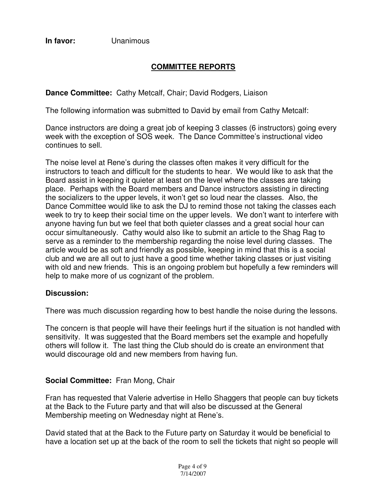**In favor:** Unanimous

# **COMMITTEE REPORTS**

# **Dance Committee:** Cathy Metcalf, Chair; David Rodgers, Liaison

The following information was submitted to David by email from Cathy Metcalf:

Dance instructors are doing a great job of keeping 3 classes (6 instructors) going every week with the exception of SOS week. The Dance Committee's instructional video continues to sell.

The noise level at Rene's during the classes often makes it very difficult for the instructors to teach and difficult for the students to hear. We would like to ask that the Board assist in keeping it quieter at least on the level where the classes are taking place. Perhaps with the Board members and Dance instructors assisting in directing the socializers to the upper levels, it won't get so loud near the classes. Also, the Dance Committee would like to ask the DJ to remind those not taking the classes each week to try to keep their social time on the upper levels. We don't want to interfere with anyone having fun but we feel that both quieter classes and a great social hour can occur simultaneously. Cathy would also like to submit an article to the Shag Rag to serve as a reminder to the membership regarding the noise level during classes. The article would be as soft and friendly as possible, keeping in mind that this is a social club and we are all out to just have a good time whether taking classes or just visiting with old and new friends. This is an ongoing problem but hopefully a few reminders will help to make more of us cognizant of the problem.

#### **Discussion:**

There was much discussion regarding how to best handle the noise during the lessons.

The concern is that people will have their feelings hurt if the situation is not handled with sensitivity. It was suggested that the Board members set the example and hopefully others will follow it. The last thing the Club should do is create an environment that would discourage old and new members from having fun.

## **Social Committee:** Fran Mong, Chair

Fran has requested that Valerie advertise in Hello Shaggers that people can buy tickets at the Back to the Future party and that will also be discussed at the General Membership meeting on Wednesday night at Rene's.

David stated that at the Back to the Future party on Saturday it would be beneficial to have a location set up at the back of the room to sell the tickets that night so people will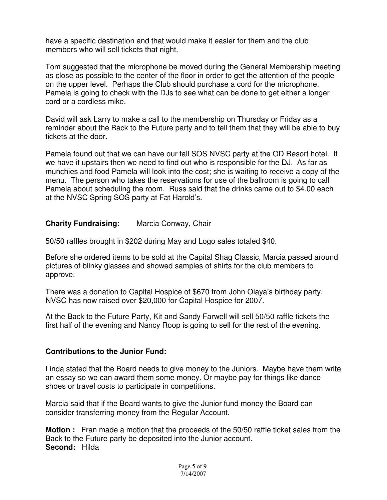have a specific destination and that would make it easier for them and the club members who will sell tickets that night.

Tom suggested that the microphone be moved during the General Membership meeting as close as possible to the center of the floor in order to get the attention of the people on the upper level. Perhaps the Club should purchase a cord for the microphone. Pamela is going to check with the DJs to see what can be done to get either a longer cord or a cordless mike.

David will ask Larry to make a call to the membership on Thursday or Friday as a reminder about the Back to the Future party and to tell them that they will be able to buy tickets at the door.

Pamela found out that we can have our fall SOS NVSC party at the OD Resort hotel. If we have it upstairs then we need to find out who is responsible for the DJ. As far as munchies and food Pamela will look into the cost; she is waiting to receive a copy of the menu. The person who takes the reservations for use of the ballroom is going to call Pamela about scheduling the room. Russ said that the drinks came out to \$4.00 each at the NVSC Spring SOS party at Fat Harold's.

#### **Charity Fundraising:** Marcia Conway, Chair

50/50 raffles brought in \$202 during May and Logo sales totaled \$40.

Before she ordered items to be sold at the Capital Shag Classic, Marcia passed around pictures of blinky glasses and showed samples of shirts for the club members to approve.

There was a donation to Capital Hospice of \$670 from John Olaya's birthday party. NVSC has now raised over \$20,000 for Capital Hospice for 2007.

At the Back to the Future Party, Kit and Sandy Farwell will sell 50/50 raffle tickets the first half of the evening and Nancy Roop is going to sell for the rest of the evening.

#### **Contributions to the Junior Fund:**

Linda stated that the Board needs to give money to the Juniors. Maybe have them write an essay so we can award them some money. Or maybe pay for things like dance shoes or travel costs to participate in competitions.

Marcia said that if the Board wants to give the Junior fund money the Board can consider transferring money from the Regular Account.

**Motion :** Fran made a motion that the proceeds of the 50/50 raffle ticket sales from the Back to the Future party be deposited into the Junior account. **Second:** Hilda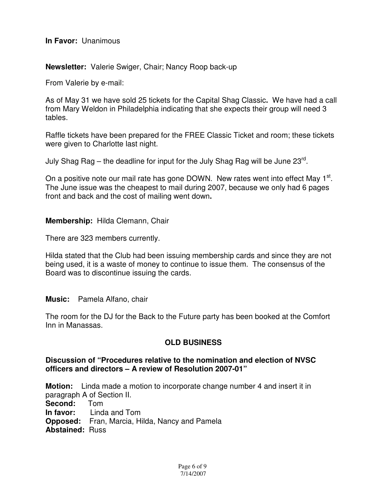#### **In Favor:** Unanimous

#### **Newsletter:** Valerie Swiger, Chair; Nancy Roop back-up

From Valerie by e-mail:

As of May 31 we have sold 25 tickets for the Capital Shag Classic**.** We have had a call from Mary Weldon in Philadelphia indicating that she expects their group will need 3 tables.

Raffle tickets have been prepared for the FREE Classic Ticket and room; these tickets were given to Charlotte last night.

July Shag Rag – the deadline for input for the July Shag Rag will be June 23 $^{\text{rd}}$ .

On a positive note our mail rate has gone DOWN. New rates went into effect May 1<sup>st</sup>. The June issue was the cheapest to mail during 2007, because we only had 6 pages front and back and the cost of mailing went down**.**

**Membership:** Hilda Clemann, Chair

There are 323 members currently.

Hilda stated that the Club had been issuing membership cards and since they are not being used, it is a waste of money to continue to issue them. The consensus of the Board was to discontinue issuing the cards.

#### **Music:** Pamela Alfano, chair

The room for the DJ for the Back to the Future party has been booked at the Comfort Inn in Manassas.

## **OLD BUSINESS**

#### **Discussion of "Procedures relative to the nomination and election of NVSC officers and directors – A review of Resolution 2007-01"**

**Motion:** Linda made a motion to incorporate change number 4 and insert it in paragraph A of Section II. **Second:** Tom **In favor:** Linda and Tom **Opposed:** Fran, Marcia, Hilda, Nancy and Pamela **Abstained:** Russ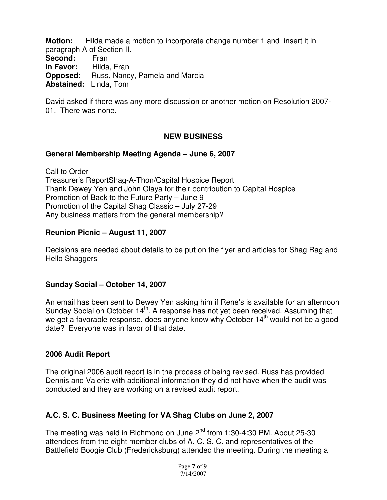**Motion:** Hilda made a motion to incorporate change number 1 and insert it in paragraph A of Section II. Second: Fran **In Favor:** Hilda, Fran **Opposed:** Russ, Nancy, Pamela and Marcia **Abstained:** Linda, Tom

David asked if there was any more discussion or another motion on Resolution 2007- 01. There was none.

# **NEW BUSINESS**

#### **General Membership Meeting Agenda – June 6, 2007**

Call to Order Treasurer's ReportShag-A-Thon/Capital Hospice Report Thank Dewey Yen and John Olaya for their contribution to Capital Hospice Promotion of Back to the Future Party – June 9 Promotion of the Capital Shag Classic – July 27-29 Any business matters from the general membership?

#### **Reunion Picnic – August 11, 2007**

Decisions are needed about details to be put on the flyer and articles for Shag Rag and Hello Shaggers

## **Sunday Social – October 14, 2007**

An email has been sent to Dewey Yen asking him if Rene's is available for an afternoon Sunday Social on October 14<sup>th</sup>. A response has not yet been received. Assuming that we get a favorable response, does anyone know why October  $14<sup>th</sup>$  would not be a good date? Everyone was in favor of that date.

## **2006 Audit Report**

The original 2006 audit report is in the process of being revised. Russ has provided Dennis and Valerie with additional information they did not have when the audit was conducted and they are working on a revised audit report.

## **A.C. S. C. Business Meeting for VA Shag Clubs on June 2, 2007**

The meeting was held in Richmond on June 2<sup>nd</sup> from 1:30-4:30 PM. About 25-30 attendees from the eight member clubs of A. C. S. C. and representatives of the Battlefield Boogie Club (Fredericksburg) attended the meeting. During the meeting a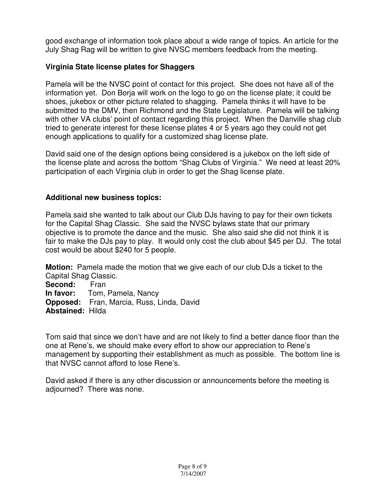good exchange of information took place about a wide range of topics. An article for the July Shag Rag will be written to give NVSC members feedback from the meeting.

# **Virginia State license plates for Shaggers**

Pamela will be the NVSC point of contact for this project. She does not have all of the information yet. Don Borja will work on the logo to go on the license plate; it could be shoes, jukebox or other picture related to shagging. Pamela thinks it will have to be submitted to the DMV, then Richmond and the State Legislature. Pamela will be talking with other VA clubs' point of contact regarding this project. When the Danville shag club tried to generate interest for these license plates 4 or 5 years ago they could not get enough applications to qualify for a customized shag license plate.

David said one of the design options being considered is a jukebox on the left side of the license plate and across the bottom "Shag Clubs of Virginia." We need at least 20% participation of each Virginia club in order to get the Shag license plate.

# **Additional new business topics:**

Pamela said she wanted to talk about our Club DJs having to pay for their own tickets for the Capital Shag Classic. She said the NVSC bylaws state that our primary objective is to promote the dance and the music. She also said she did not think it is fair to make the DJs pay to play. It would only cost the club about \$45 per DJ. The total cost would be about \$240 for 5 people.

**Motion:** Pamela made the motion that we give each of our club DJs a ticket to the Capital Shag Classic.

**Second:** Fran **In favor:** Tom, Pamela, Nancy **Opposed:** Fran, Marcia, Russ, Linda, David **Abstained:** Hilda

Tom said that since we don't have and are not likely to find a better dance floor than the one at Rene's, we should make every effort to show our appreciation to Rene's management by supporting their establishment as much as possible. The bottom line is that NVSC cannot afford to lose Rene's.

David asked if there is any other discussion or announcements before the meeting is adjourned? There was none.